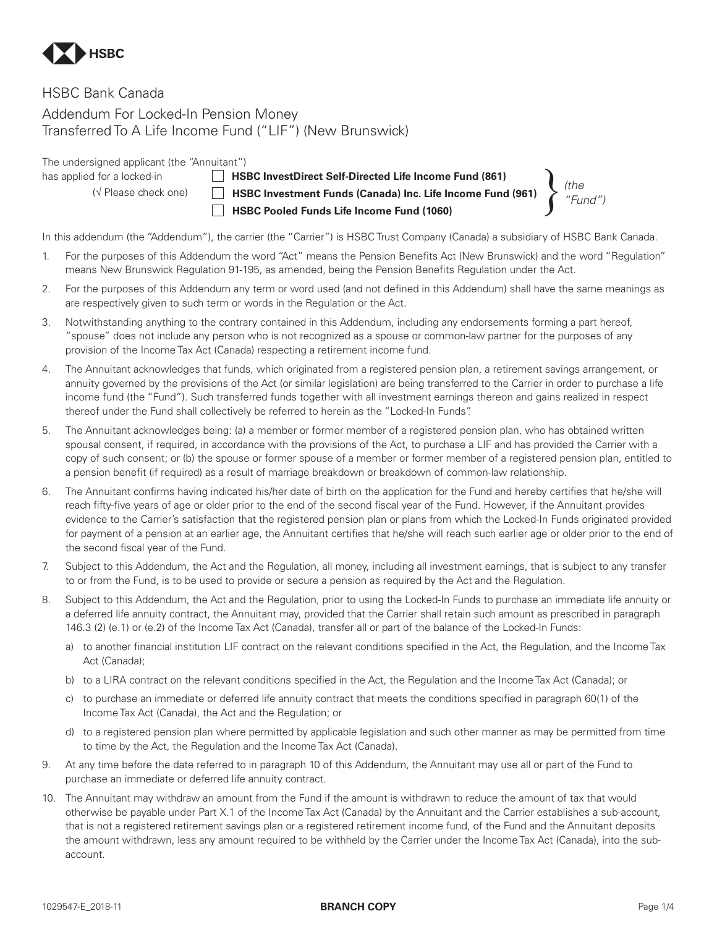

# HSBC Bank Canada

Addendum For Locked-In Pension Money Transferred To A Life Income Fund ("LIF") (New Brunswick)

The undersigned applicant (the "Annuitant")

has applied for a locked-in **HSBC InvestDirect Self-Directed Life Income Fund (861)** (√ Please check one) **HSBC Investment Funds (Canada) Inc. Life Income Fund (961) HSBC Pooled Funds Life Income Fund (1060)**

*(the "Fund")*

In this addendum (the "Addendum"), the carrier (the "Carrier") is HSBC Trust Company (Canada) a subsidiary of HSBC Bank Canada.

- 1. For the purposes of this Addendum the word "Act" means the Pension Benefits Act (New Brunswick) and the word "Regulation" means New Brunswick Regulation 91-195, as amended, being the Pension Benefits Regulation under the Act.
- 2. For the purposes of this Addendum any term or word used (and not defined in this Addendum) shall have the same meanings as are respectively given to such term or words in the Regulation or the Act.
- 3. Notwithstanding anything to the contrary contained in this Addendum, including any endorsements forming a part hereof, "spouse" does not include any person who is not recognized as a spouse or common-law partner for the purposes of any provision of the Income Tax Act (Canada) respecting a retirement income fund.
- 4. The Annuitant acknowledges that funds, which originated from a registered pension plan, a retirement savings arrangement, or annuity governed by the provisions of the Act (or similar legislation) are being transferred to the Carrier in order to purchase a life income fund (the "Fund"). Such transferred funds together with all investment earnings thereon and gains realized in respect thereof under the Fund shall collectively be referred to herein as the "Locked-In Funds".
- 5. The Annuitant acknowledges being: (a) a member or former member of a registered pension plan, who has obtained written spousal consent, if required, in accordance with the provisions of the Act, to purchase a LIF and has provided the Carrier with a copy of such consent; or (b) the spouse or former spouse of a member or former member of a registered pension plan, entitled to a pension benefit (if required) as a result of marriage breakdown or breakdown of common-law relationship.
- 6. The Annuitant confirms having indicated his/her date of birth on the application for the Fund and hereby certifies that he/she will reach fifty-five years of age or older prior to the end of the second fiscal year of the Fund. However, if the Annuitant provides evidence to the Carrier's satisfaction that the registered pension plan or plans from which the Locked-In Funds originated provided for payment of a pension at an earlier age, the Annuitant certifies that he/she will reach such earlier age or older prior to the end of the second fiscal year of the Fund.
- 7. Subject to this Addendum, the Act and the Regulation, all money, including all investment earnings, that is subject to any transfer to or from the Fund, is to be used to provide or secure a pension as required by the Act and the Regulation.
- 8. Subject to this Addendum, the Act and the Regulation, prior to using the Locked-In Funds to purchase an immediate life annuity or a deferred life annuity contract, the Annuitant may, provided that the Carrier shall retain such amount as prescribed in paragraph 146.3 (2) (e.1) or (e.2) of the Income Tax Act (Canada), transfer all or part of the balance of the Locked-In Funds:
	- a) to another financial institution LIF contract on the relevant conditions specified in the Act, the Regulation, and the Income Tax Act (Canada);
	- b) to a LIRA contract on the relevant conditions specified in the Act, the Regulation and the Income Tax Act (Canada); or
	- c) to purchase an immediate or deferred life annuity contract that meets the conditions specified in paragraph 60(1) of the Income Tax Act (Canada), the Act and the Regulation; or
	- d) to a registered pension plan where permitted by applicable legislation and such other manner as may be permitted from time to time by the Act, the Regulation and the Income Tax Act (Canada).
- 9. At any time before the date referred to in paragraph 10 of this Addendum, the Annuitant may use all or part of the Fund to purchase an immediate or deferred life annuity contract.
- 10. The Annuitant may withdraw an amount from the Fund if the amount is withdrawn to reduce the amount of tax that would otherwise be payable under Part X.1 of the Income Tax Act (Canada) by the Annuitant and the Carrier establishes a sub-account, that is not a registered retirement savings plan or a registered retirement income fund, of the Fund and the Annuitant deposits the amount withdrawn, less any amount required to be withheld by the Carrier under the Income Tax Act (Canada), into the subaccount.

## 1029547-E\_2018-11 **BRANCH COPY** Page 1/4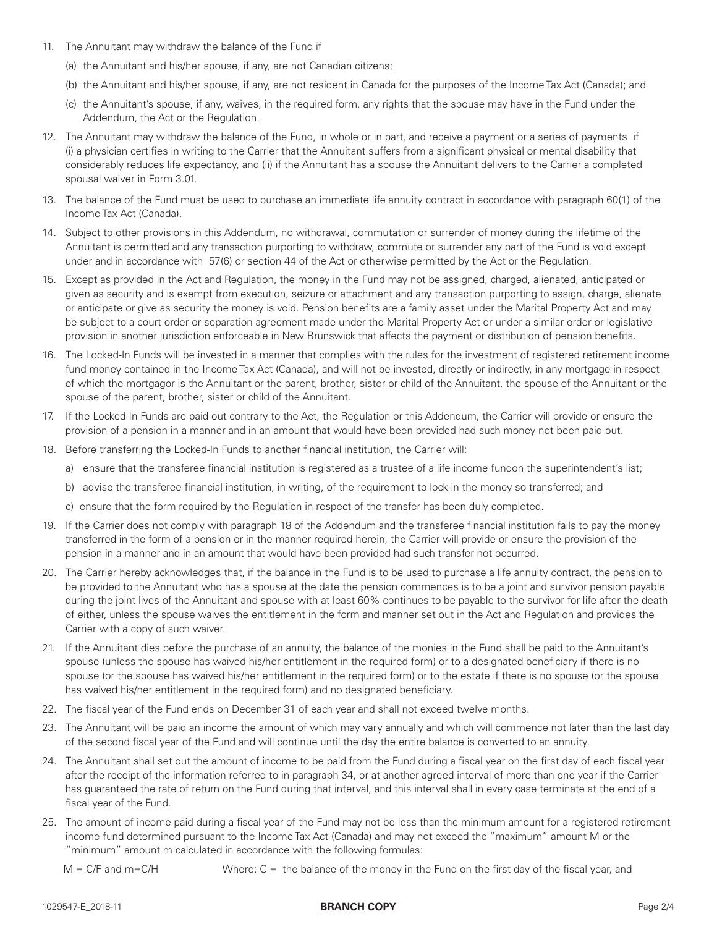- 11. The Annuitant may withdraw the balance of the Fund if
	- (a) the Annuitant and his/her spouse, if any, are not Canadian citizens;
	- (b) the Annuitant and his/her spouse, if any, are not resident in Canada for the purposes of the Income Tax Act (Canada); and
	- (c) the Annuitant's spouse, if any, waives, in the required form, any rights that the spouse may have in the Fund under the Addendum, the Act or the Regulation.
- 12. The Annuitant may withdraw the balance of the Fund, in whole or in part, and receive a payment or a series of payments if (i) a physician certifies in writing to the Carrier that the Annuitant suffers from a significant physical or mental disability that considerably reduces life expectancy, and (ii) if the Annuitant has a spouse the Annuitant delivers to the Carrier a completed spousal waiver in Form 3.01.
- 13. The balance of the Fund must be used to purchase an immediate life annuity contract in accordance with paragraph 60(1) of the Income Tax Act (Canada).
- 14. Subject to other provisions in this Addendum, no withdrawal, commutation or surrender of money during the lifetime of the Annuitant is permitted and any transaction purporting to withdraw, commute or surrender any part of the Fund is void except under and in accordance with 57(6) or section 44 of the Act or otherwise permitted by the Act or the Regulation.
- 15. Except as provided in the Act and Regulation, the money in the Fund may not be assigned, charged, alienated, anticipated or given as security and is exempt from execution, seizure or attachment and any transaction purporting to assign, charge, alienate or anticipate or give as security the money is void. Pension benefits are a family asset under the Marital Property Act and may be subject to a court order or separation agreement made under the Marital Property Act or under a similar order or legislative provision in another jurisdiction enforceable in New Brunswick that affects the payment or distribution of pension benefits.
- 16. The Locked-In Funds will be invested in a manner that complies with the rules for the investment of registered retirement income fund money contained in the Income Tax Act (Canada), and will not be invested, directly or indirectly, in any mortgage in respect of which the mortgagor is the Annuitant or the parent, brother, sister or child of the Annuitant, the spouse of the Annuitant or the spouse of the parent, brother, sister or child of the Annuitant.
- 17. If the Locked-In Funds are paid out contrary to the Act, the Regulation or this Addendum, the Carrier will provide or ensure the provision of a pension in a manner and in an amount that would have been provided had such money not been paid out.
- 18. Before transferring the Locked-In Funds to another financial institution, the Carrier will:
	- a) ensure that the transferee financial institution is registered as a trustee of a life income fundon the superintendent's list;
	- b) advise the transferee financial institution, in writing, of the requirement to lock-in the money so transferred; and
	- c) ensure that the form required by the Regulation in respect of the transfer has been duly completed.
- 19. If the Carrier does not comply with paragraph 18 of the Addendum and the transferee financial institution fails to pay the money transferred in the form of a pension or in the manner required herein, the Carrier will provide or ensure the provision of the pension in a manner and in an amount that would have been provided had such transfer not occurred.
- 20. The Carrier hereby acknowledges that, if the balance in the Fund is to be used to purchase a life annuity contract, the pension to be provided to the Annuitant who has a spouse at the date the pension commences is to be a joint and survivor pension payable during the joint lives of the Annuitant and spouse with at least 60% continues to be payable to the survivor for life after the death of either, unless the spouse waives the entitlement in the form and manner set out in the Act and Regulation and provides the Carrier with a copy of such waiver.
- 21. If the Annuitant dies before the purchase of an annuity, the balance of the monies in the Fund shall be paid to the Annuitant's spouse (unless the spouse has waived his/her entitlement in the required form) or to a designated beneficiary if there is no spouse (or the spouse has waived his/her entitlement in the required form) or to the estate if there is no spouse (or the spouse has waived his/her entitlement in the required form) and no designated beneficiary.
- 22. The fiscal year of the Fund ends on December 31 of each year and shall not exceed twelve months.
- 23. The Annuitant will be paid an income the amount of which may vary annually and which will commence not later than the last day of the second fiscal year of the Fund and will continue until the day the entire balance is converted to an annuity.
- 24. The Annuitant shall set out the amount of income to be paid from the Fund during a fiscal year on the first day of each fiscal year after the receipt of the information referred to in paragraph 34, or at another agreed interval of more than one year if the Carrier has guaranteed the rate of return on the Fund during that interval, and this interval shall in every case terminate at the end of a fiscal year of the Fund.
- 25. The amount of income paid during a fiscal year of the Fund may not be less than the minimum amount for a registered retirement income fund determined pursuant to the Income Tax Act (Canada) and may not exceed the "maximum" amount M or the "minimum" amount m calculated in accordance with the following formulas:
	- $M = C/F$  and m=C/H Where:  $C =$  the balance of the money in the Fund on the first day of the fiscal year, and

## 1029547-E\_2018-11 **BRANCH COPY** Page 2/4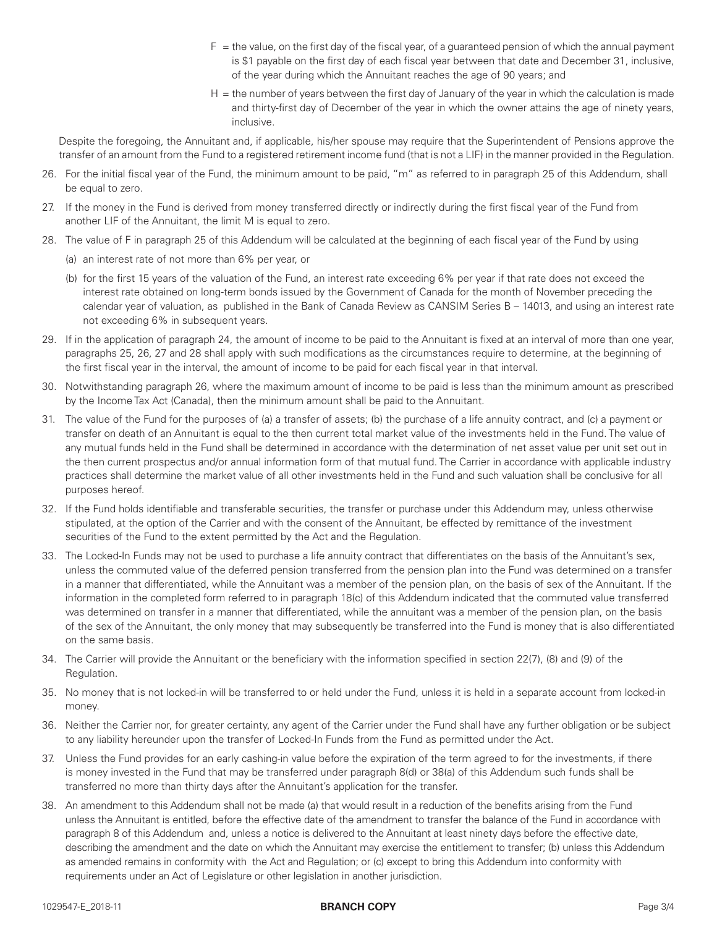- $F =$  the value, on the first day of the fiscal year, of a guaranteed pension of which the annual payment is \$1 payable on the first day of each fiscal year between that date and December 31, inclusive, of the year during which the Annuitant reaches the age of 90 years; and
- H = the number of years between the first day of January of the year in which the calculation is made and thirty-first day of December of the year in which the owner attains the age of ninety years, inclusive.

Despite the foregoing, the Annuitant and, if applicable, his/her spouse may require that the Superintendent of Pensions approve the transfer of an amount from the Fund to a registered retirement income fund (that is not a LIF) in the manner provided in the Regulation.

- 26. For the initial fiscal year of the Fund, the minimum amount to be paid, "m" as referred to in paragraph 25 of this Addendum, shall be equal to zero.
- 27. If the money in the Fund is derived from money transferred directly or indirectly during the first fiscal year of the Fund from another LIF of the Annuitant, the limit M is equal to zero.
- 28. The value of F in paragraph 25 of this Addendum will be calculated at the beginning of each fiscal year of the Fund by using
	- (a) an interest rate of not more than 6% per year, or
	- (b) for the first 15 years of the valuation of the Fund, an interest rate exceeding 6% per year if that rate does not exceed the interest rate obtained on long-term bonds issued by the Government of Canada for the month of November preceding the calendar year of valuation, as published in the Bank of Canada Review as CANSIM Series B – 14013, and using an interest rate not exceeding 6% in subsequent years.
- 29. If in the application of paragraph 24, the amount of income to be paid to the Annuitant is fixed at an interval of more than one year, paragraphs 25, 26, 27 and 28 shall apply with such modifications as the circumstances require to determine, at the beginning of the first fiscal year in the interval, the amount of income to be paid for each fiscal year in that interval.
- 30. Notwithstanding paragraph 26, where the maximum amount of income to be paid is less than the minimum amount as prescribed by the Income Tax Act (Canada), then the minimum amount shall be paid to the Annuitant.
- 31. The value of the Fund for the purposes of (a) a transfer of assets; (b) the purchase of a life annuity contract, and (c) a payment or transfer on death of an Annuitant is equal to the then current total market value of the investments held in the Fund. The value of any mutual funds held in the Fund shall be determined in accordance with the determination of net asset value per unit set out in the then current prospectus and/or annual information form of that mutual fund. The Carrier in accordance with applicable industry practices shall determine the market value of all other investments held in the Fund and such valuation shall be conclusive for all purposes hereof.
- 32. If the Fund holds identifiable and transferable securities, the transfer or purchase under this Addendum may, unless otherwise stipulated, at the option of the Carrier and with the consent of the Annuitant, be effected by remittance of the investment securities of the Fund to the extent permitted by the Act and the Regulation.
- 33. The Locked-In Funds may not be used to purchase a life annuity contract that differentiates on the basis of the Annuitant's sex, unless the commuted value of the deferred pension transferred from the pension plan into the Fund was determined on a transfer in a manner that differentiated, while the Annuitant was a member of the pension plan, on the basis of sex of the Annuitant. If the information in the completed form referred to in paragraph 18(c) of this Addendum indicated that the commuted value transferred was determined on transfer in a manner that differentiated, while the annuitant was a member of the pension plan, on the basis of the sex of the Annuitant, the only money that may subsequently be transferred into the Fund is money that is also differentiated on the same basis.
- 34. The Carrier will provide the Annuitant or the beneficiary with the information specified in section 22(7), (8) and (9) of the Regulation.
- 35. No money that is not locked-in will be transferred to or held under the Fund, unless it is held in a separate account from locked-in money.
- 36. Neither the Carrier nor, for greater certainty, any agent of the Carrier under the Fund shall have any further obligation or be subject to any liability hereunder upon the transfer of Locked-In Funds from the Fund as permitted under the Act.
- 37. Unless the Fund provides for an early cashing-in value before the expiration of the term agreed to for the investments, if there is money invested in the Fund that may be transferred under paragraph 8(d) or 38(a) of this Addendum such funds shall be transferred no more than thirty days after the Annuitant's application for the transfer.
- 38. An amendment to this Addendum shall not be made (a) that would result in a reduction of the benefits arising from the Fund unless the Annuitant is entitled, before the effective date of the amendment to transfer the balance of the Fund in accordance with paragraph 8 of this Addendum and, unless a notice is delivered to the Annuitant at least ninety days before the effective date, describing the amendment and the date on which the Annuitant may exercise the entitlement to transfer; (b) unless this Addendum as amended remains in conformity with the Act and Regulation; or (c) except to bring this Addendum into conformity with requirements under an Act of Legislature or other legislation in another jurisdiction.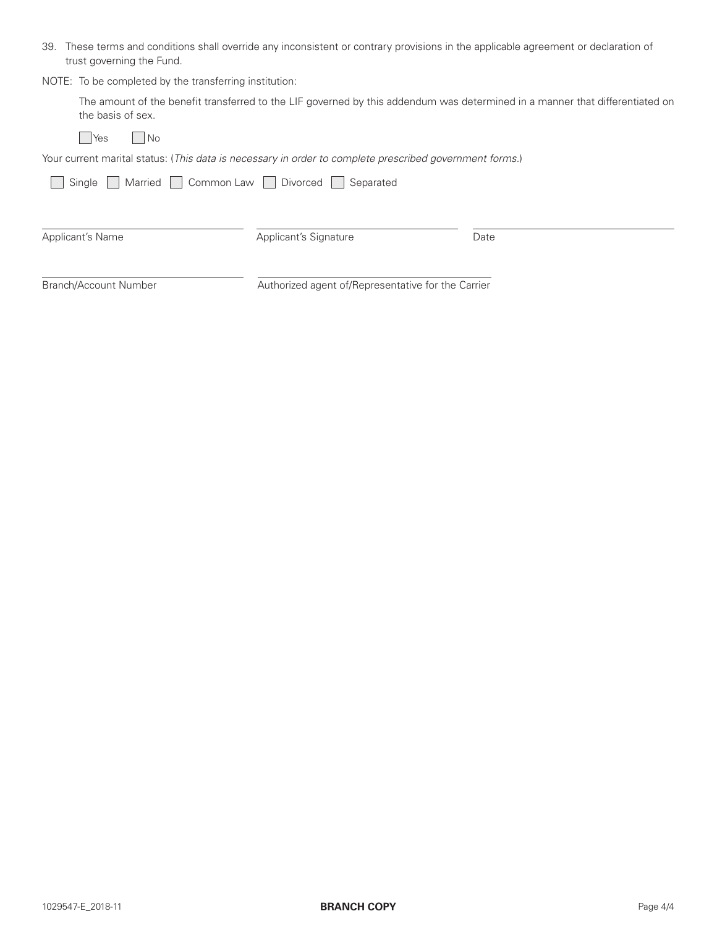39. These terms and conditions shall override any inconsistent or contrary provisions in the applicable agreement or declaration of trust governing the Fund.

NOTE: To be completed by the transferring institution:

| The amount of the benefit transferred to the LIF governed by this addendum was determined in a manner that differentiated on |  |  |
|------------------------------------------------------------------------------------------------------------------------------|--|--|
| the basis of sex.                                                                                                            |  |  |

 $\Box$ Yes  $\Box$ No

Your current marital status: (*This data is necessary in order to complete prescribed government forms.*)

| Married Common Law<br>Single | Divorced <b>N</b><br>Separated                     |      |
|------------------------------|----------------------------------------------------|------|
| Applicant's Name             | Applicant's Signature                              | Date |
| Branch/Account Number        | Authorized agent of/Representative for the Carrier |      |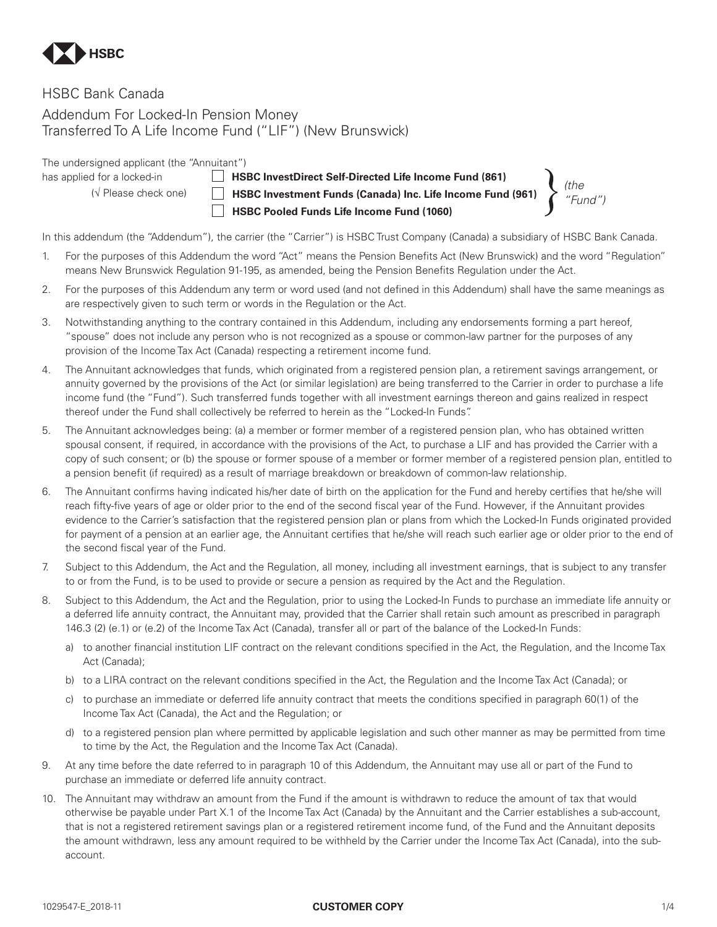

# HSBC Bank Canada

Addendum For Locked-In Pension Money Transferred To A Life Income Fund ("LIF") (New Brunswick)

The undersigned applicant (the "Annuitant")

has applied for a locked-in **HSBC InvestDirect Self-Directed Life Income Fund (861)** (√ Please check one) **HSBC Investment Funds (Canada) Inc. Life Income Fund (961) HSBC Pooled Funds Life Income Fund (1060)**

*(the "Fund")*

In this addendum (the "Addendum"), the carrier (the "Carrier") is HSBC Trust Company (Canada) a subsidiary of HSBC Bank Canada.

- 1. For the purposes of this Addendum the word "Act" means the Pension Benefits Act (New Brunswick) and the word "Regulation" means New Brunswick Regulation 91-195, as amended, being the Pension Benefits Regulation under the Act.
- 2. For the purposes of this Addendum any term or word used (and not defined in this Addendum) shall have the same meanings as are respectively given to such term or words in the Regulation or the Act.
- 3. Notwithstanding anything to the contrary contained in this Addendum, including any endorsements forming a part hereof, "spouse" does not include any person who is not recognized as a spouse or common-law partner for the purposes of any provision of the Income Tax Act (Canada) respecting a retirement income fund.
- 4. The Annuitant acknowledges that funds, which originated from a registered pension plan, a retirement savings arrangement, or annuity governed by the provisions of the Act (or similar legislation) are being transferred to the Carrier in order to purchase a life income fund (the "Fund"). Such transferred funds together with all investment earnings thereon and gains realized in respect thereof under the Fund shall collectively be referred to herein as the "Locked-In Funds".
- 5. The Annuitant acknowledges being: (a) a member or former member of a registered pension plan, who has obtained written spousal consent, if required, in accordance with the provisions of the Act, to purchase a LIF and has provided the Carrier with a copy of such consent; or (b) the spouse or former spouse of a member or former member of a registered pension plan, entitled to a pension benefit (if required) as a result of marriage breakdown or breakdown of common-law relationship.
- 6. The Annuitant confirms having indicated his/her date of birth on the application for the Fund and hereby certifies that he/she will reach fifty-five years of age or older prior to the end of the second fiscal year of the Fund. However, if the Annuitant provides evidence to the Carrier's satisfaction that the registered pension plan or plans from which the Locked-In Funds originated provided for payment of a pension at an earlier age, the Annuitant certifies that he/she will reach such earlier age or older prior to the end of the second fiscal year of the Fund.
- 7. Subject to this Addendum, the Act and the Regulation, all money, including all investment earnings, that is subject to any transfer to or from the Fund, is to be used to provide or secure a pension as required by the Act and the Regulation.
- 8. Subject to this Addendum, the Act and the Regulation, prior to using the Locked-In Funds to purchase an immediate life annuity or a deferred life annuity contract, the Annuitant may, provided that the Carrier shall retain such amount as prescribed in paragraph 146.3 (2) (e.1) or (e.2) of the Income Tax Act (Canada), transfer all or part of the balance of the Locked-In Funds:
	- a) to another financial institution LIF contract on the relevant conditions specified in the Act, the Regulation, and the Income Tax Act (Canada);
	- b) to a LIRA contract on the relevant conditions specified in the Act, the Regulation and the Income Tax Act (Canada); or
	- c) to purchase an immediate or deferred life annuity contract that meets the conditions specified in paragraph 60(1) of the Income Tax Act (Canada), the Act and the Regulation; or
	- d) to a registered pension plan where permitted by applicable legislation and such other manner as may be permitted from time to time by the Act, the Regulation and the Income Tax Act (Canada).
- 9. At any time before the date referred to in paragraph 10 of this Addendum, the Annuitant may use all or part of the Fund to purchase an immediate or deferred life annuity contract.
- 10. The Annuitant may withdraw an amount from the Fund if the amount is withdrawn to reduce the amount of tax that would otherwise be payable under Part X.1 of the Income Tax Act (Canada) by the Annuitant and the Carrier establishes a sub-account, that is not a registered retirement savings plan or a registered retirement income fund, of the Fund and the Annuitant deposits the amount withdrawn, less any amount required to be withheld by the Carrier under the Income Tax Act (Canada), into the subaccount.

## 1029547-E\_2018-11 **CUSTOMER COPY**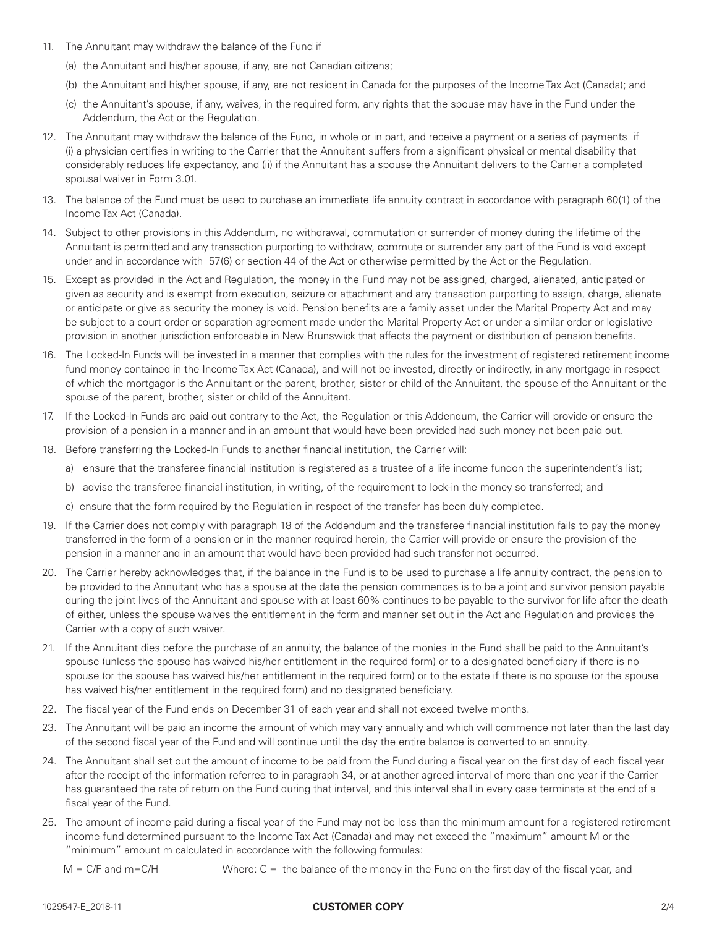- 11. The Annuitant may withdraw the balance of the Fund if
	- (a) the Annuitant and his/her spouse, if any, are not Canadian citizens;
	- (b) the Annuitant and his/her spouse, if any, are not resident in Canada for the purposes of the Income Tax Act (Canada); and
	- (c) the Annuitant's spouse, if any, waives, in the required form, any rights that the spouse may have in the Fund under the Addendum, the Act or the Regulation.
- 12. The Annuitant may withdraw the balance of the Fund, in whole or in part, and receive a payment or a series of payments if (i) a physician certifies in writing to the Carrier that the Annuitant suffers from a significant physical or mental disability that considerably reduces life expectancy, and (ii) if the Annuitant has a spouse the Annuitant delivers to the Carrier a completed spousal waiver in Form 3.01.
- 13. The balance of the Fund must be used to purchase an immediate life annuity contract in accordance with paragraph 60(1) of the Income Tax Act (Canada).
- 14. Subject to other provisions in this Addendum, no withdrawal, commutation or surrender of money during the lifetime of the Annuitant is permitted and any transaction purporting to withdraw, commute or surrender any part of the Fund is void except under and in accordance with 57(6) or section 44 of the Act or otherwise permitted by the Act or the Regulation.
- 15. Except as provided in the Act and Regulation, the money in the Fund may not be assigned, charged, alienated, anticipated or given as security and is exempt from execution, seizure or attachment and any transaction purporting to assign, charge, alienate or anticipate or give as security the money is void. Pension benefits are a family asset under the Marital Property Act and may be subject to a court order or separation agreement made under the Marital Property Act or under a similar order or legislative provision in another jurisdiction enforceable in New Brunswick that affects the payment or distribution of pension benefits.
- 16. The Locked-In Funds will be invested in a manner that complies with the rules for the investment of registered retirement income fund money contained in the Income Tax Act (Canada), and will not be invested, directly or indirectly, in any mortgage in respect of which the mortgagor is the Annuitant or the parent, brother, sister or child of the Annuitant, the spouse of the Annuitant or the spouse of the parent, brother, sister or child of the Annuitant.
- 17. If the Locked-In Funds are paid out contrary to the Act, the Regulation or this Addendum, the Carrier will provide or ensure the provision of a pension in a manner and in an amount that would have been provided had such money not been paid out.
- 18. Before transferring the Locked-In Funds to another financial institution, the Carrier will:
	- a) ensure that the transferee financial institution is registered as a trustee of a life income fundon the superintendent's list;
	- b) advise the transferee financial institution, in writing, of the requirement to lock-in the money so transferred; and
	- c) ensure that the form required by the Regulation in respect of the transfer has been duly completed.
- 19. If the Carrier does not comply with paragraph 18 of the Addendum and the transferee financial institution fails to pay the money transferred in the form of a pension or in the manner required herein, the Carrier will provide or ensure the provision of the pension in a manner and in an amount that would have been provided had such transfer not occurred.
- 20. The Carrier hereby acknowledges that, if the balance in the Fund is to be used to purchase a life annuity contract, the pension to be provided to the Annuitant who has a spouse at the date the pension commences is to be a joint and survivor pension payable during the joint lives of the Annuitant and spouse with at least 60% continues to be payable to the survivor for life after the death of either, unless the spouse waives the entitlement in the form and manner set out in the Act and Regulation and provides the Carrier with a copy of such waiver.
- 21. If the Annuitant dies before the purchase of an annuity, the balance of the monies in the Fund shall be paid to the Annuitant's spouse (unless the spouse has waived his/her entitlement in the required form) or to a designated beneficiary if there is no spouse (or the spouse has waived his/her entitlement in the required form) or to the estate if there is no spouse (or the spouse has waived his/her entitlement in the required form) and no designated beneficiary.
- 22. The fiscal year of the Fund ends on December 31 of each year and shall not exceed twelve months.
- 23. The Annuitant will be paid an income the amount of which may vary annually and which will commence not later than the last day of the second fiscal year of the Fund and will continue until the day the entire balance is converted to an annuity.
- 24. The Annuitant shall set out the amount of income to be paid from the Fund during a fiscal year on the first day of each fiscal year after the receipt of the information referred to in paragraph 34, or at another agreed interval of more than one year if the Carrier has guaranteed the rate of return on the Fund during that interval, and this interval shall in every case terminate at the end of a fiscal year of the Fund.
- 25. The amount of income paid during a fiscal year of the Fund may not be less than the minimum amount for a registered retirement income fund determined pursuant to the Income Tax Act (Canada) and may not exceed the "maximum" amount M or the "minimum" amount m calculated in accordance with the following formulas:
	- $M = C/F$  and m=C/H Where:  $C =$  the balance of the money in the Fund on the first day of the fiscal year, and

## 1029547-E\_2018-11 **CUSTOMER COPY**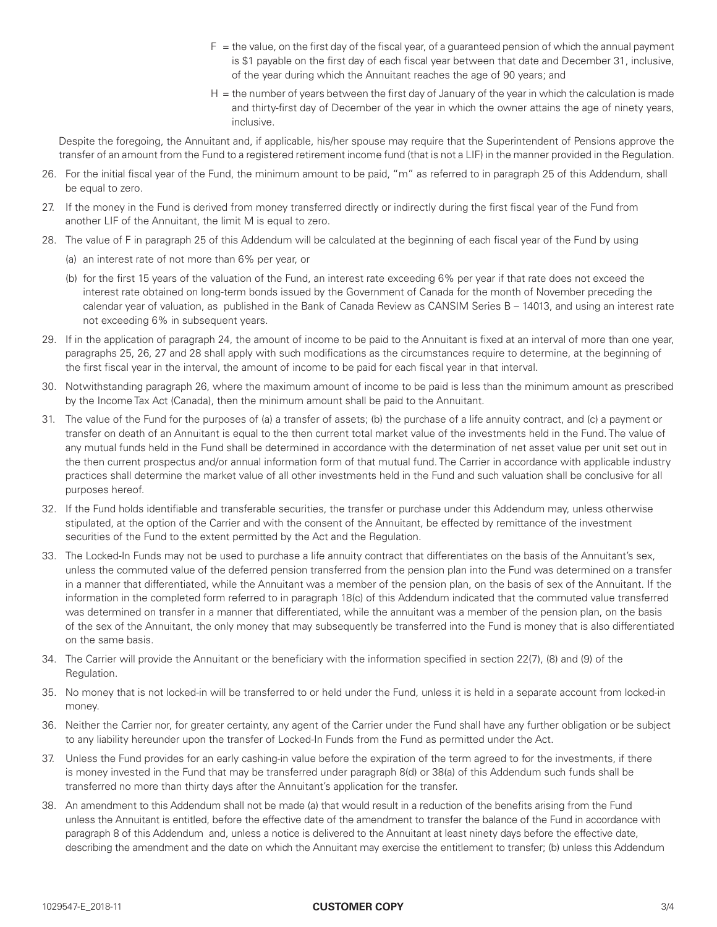- $F =$  the value, on the first day of the fiscal year, of a guaranteed pension of which the annual payment is \$1 payable on the first day of each fiscal year between that date and December 31, inclusive, of the year during which the Annuitant reaches the age of 90 years; and
- H = the number of years between the first day of January of the year in which the calculation is made and thirty-first day of December of the year in which the owner attains the age of ninety years, inclusive.

Despite the foregoing, the Annuitant and, if applicable, his/her spouse may require that the Superintendent of Pensions approve the transfer of an amount from the Fund to a registered retirement income fund (that is not a LIF) in the manner provided in the Regulation.

- 26. For the initial fiscal year of the Fund, the minimum amount to be paid, "m" as referred to in paragraph 25 of this Addendum, shall be equal to zero.
- 27. If the money in the Fund is derived from money transferred directly or indirectly during the first fiscal year of the Fund from another LIF of the Annuitant, the limit M is equal to zero.
- 28. The value of F in paragraph 25 of this Addendum will be calculated at the beginning of each fiscal year of the Fund by using
	- (a) an interest rate of not more than 6% per year, or
	- (b) for the first 15 years of the valuation of the Fund, an interest rate exceeding 6% per year if that rate does not exceed the interest rate obtained on long-term bonds issued by the Government of Canada for the month of November preceding the calendar year of valuation, as published in the Bank of Canada Review as CANSIM Series B – 14013, and using an interest rate not exceeding 6% in subsequent years.
- 29. If in the application of paragraph 24, the amount of income to be paid to the Annuitant is fixed at an interval of more than one year, paragraphs 25, 26, 27 and 28 shall apply with such modifications as the circumstances require to determine, at the beginning of the first fiscal year in the interval, the amount of income to be paid for each fiscal year in that interval.
- 30. Notwithstanding paragraph 26, where the maximum amount of income to be paid is less than the minimum amount as prescribed by the Income Tax Act (Canada), then the minimum amount shall be paid to the Annuitant.
- 31. The value of the Fund for the purposes of (a) a transfer of assets; (b) the purchase of a life annuity contract, and (c) a payment or transfer on death of an Annuitant is equal to the then current total market value of the investments held in the Fund. The value of any mutual funds held in the Fund shall be determined in accordance with the determination of net asset value per unit set out in the then current prospectus and/or annual information form of that mutual fund. The Carrier in accordance with applicable industry practices shall determine the market value of all other investments held in the Fund and such valuation shall be conclusive for all purposes hereof.
- 32. If the Fund holds identifiable and transferable securities, the transfer or purchase under this Addendum may, unless otherwise stipulated, at the option of the Carrier and with the consent of the Annuitant, be effected by remittance of the investment securities of the Fund to the extent permitted by the Act and the Regulation.
- 33. The Locked-In Funds may not be used to purchase a life annuity contract that differentiates on the basis of the Annuitant's sex, unless the commuted value of the deferred pension transferred from the pension plan into the Fund was determined on a transfer in a manner that differentiated, while the Annuitant was a member of the pension plan, on the basis of sex of the Annuitant. If the information in the completed form referred to in paragraph 18(c) of this Addendum indicated that the commuted value transferred was determined on transfer in a manner that differentiated, while the annuitant was a member of the pension plan, on the basis of the sex of the Annuitant, the only money that may subsequently be transferred into the Fund is money that is also differentiated on the same basis.
- 34. The Carrier will provide the Annuitant or the beneficiary with the information specified in section 22(7), (8) and (9) of the Regulation.
- 35. No money that is not locked-in will be transferred to or held under the Fund, unless it is held in a separate account from locked-in money.
- 36. Neither the Carrier nor, for greater certainty, any agent of the Carrier under the Fund shall have any further obligation or be subject to any liability hereunder upon the transfer of Locked-In Funds from the Fund as permitted under the Act.
- 37. Unless the Fund provides for an early cashing-in value before the expiration of the term agreed to for the investments, if there is money invested in the Fund that may be transferred under paragraph 8(d) or 38(a) of this Addendum such funds shall be transferred no more than thirty days after the Annuitant's application for the transfer.
- 38. An amendment to this Addendum shall not be made (a) that would result in a reduction of the benefits arising from the Fund unless the Annuitant is entitled, before the effective date of the amendment to transfer the balance of the Fund in accordance with paragraph 8 of this Addendum and, unless a notice is delivered to the Annuitant at least ninety days before the effective date, describing the amendment and the date on which the Annuitant may exercise the entitlement to transfer; (b) unless this Addendum

#### 1029547-E\_2018-11 **CUSTOMER COPY**